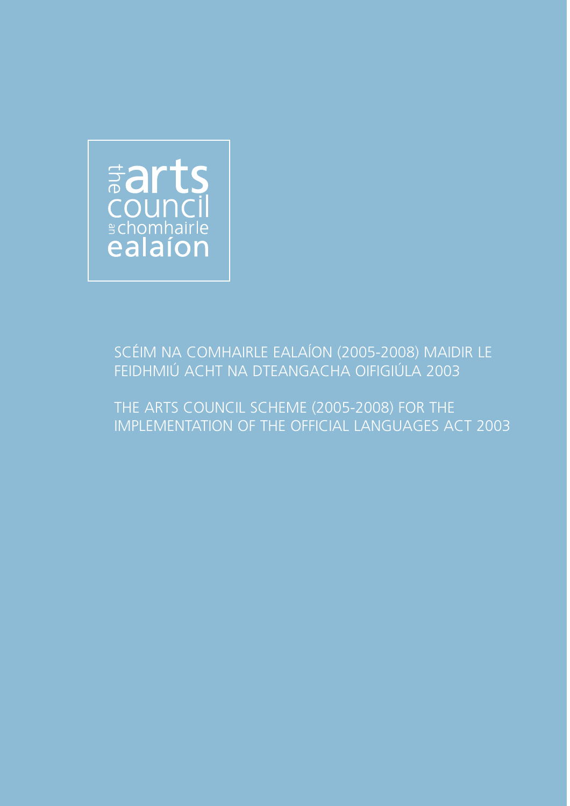

# SCÉIM NA COMHAIRLE EALAÍON (2005-2008) MAIDIR LE FEIDHMIÚ ACHT NA DTEANGACHA OIFIGIÚLA 2003

THE ARTS COUNCIL SCHEME (2005-2008) FOR THE IMPLEMENTATION OF THE OFFICIAL LANGUAGES ACT 2003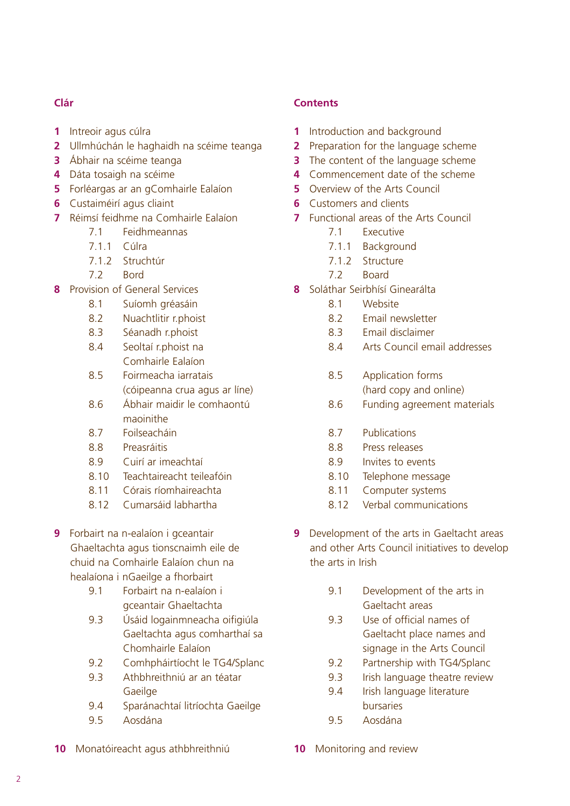## **Clár**

- **1** Intreoir agus cúlra
- **2** Ullmhúchán le haghaidh na scéime teanga
- **3** Ábhair na scéime teanga
- **4** Dáta tosaigh na scéime
- **5** Forléargas ar an gComhairle Ealaíon
- **6** Custaiméirí agus cliaint
- **7** Réimsí feidhme na Comhairle Ealaíon
	- 7.1 Feidhmeannas
	- 7.1.1 Cúlra
	- 7.1.2 Struchtúr
	- 7.2 Bord
- **8** Provision of General Services
	- 8.1 Suíomh gréasáin
	- 8.2 Nuachtlitir r.phoist
	- 8.3 Séanadh r.phoist
	- 8.4 Seoltaí r.phoist na Comhairle Ealaíon
	- 8.5 Foirmeacha iarratais (cóipeanna crua agus ar líne)
	- 8.6 Ábhair maidir le comhaontú maoinithe
	- 8.7 Foilseacháin
	- 8.8 Preasráitis
	- 8.9 Cuirí ar imeachtaí
	- 8.10 Teachtaireacht teileafóin
	- 8.11 Córais ríomhaireachta
	- 8.12 Cumarsáid labhartha
- **9** Forbairt na n-ealaíon i gceantair Ghaeltachta agus tionscnaimh eile de chuid na Comhairle Ealaíon chun na healaíona i nGaeilge a fhorbairt
	- 9.1 Forbairt na n-ealaíon i gceantair Ghaeltachta
	- 9.3 Úsáid logainmneacha oifigiúla Gaeltachta agus comharthaí sa Chomhairle Ealaíon
	- 9.2 Comhpháirtíocht le TG4/Splanc
	- 9.3 Athbhreithniú ar an téatar Gaeilge
	- 9.4 Sparánachtaí litríochta Gaeilge
	- 9.5 Aosdána
- **10** Monatóireacht agus athbhreithniú

## **Contents**

- **1** Introduction and background
- **2** Preparation for the language scheme
- **3** The content of the language scheme
- **4** Commencement date of the scheme
- **5** Overview of the Arts Council
- **6** Customers and clients
- **7** Functional areas of the Arts Council
	- 7.1 Executive
	- 7.1.1 Background
	- 7.1.2 Structure
	- 7.2 Board
- **8** Soláthar Seirbhísí Ginearálta
	- 8.1 Website
	- 8.2 Email newsletter
	- 8.3 Email disclaimer
	- 8.4 Arts Council email addresses
	- 8.5 Application forms (hard copy and online)
	- 8.6 Funding agreement materials
	- 8.7 Publications
	- 8.8 Press releases
	- 8.9 Invites to events
	- 8.10 Telephone message
	- 8.11 Computer systems
	- 8.12 Verbal communications
- **9** Development of the arts in Gaeltacht areas and other Arts Council initiatives to develop the arts in Irish
	- 9.1 Development of the arts in Gaeltacht areas
	- 9.3 Use of official names of Gaeltacht place names and signage in the Arts Council
	- 9.2 Partnership with TG4/Splanc
	- 9.3 Irish language theatre review
	- 9.4 Irish language literature bursaries
	- 9.5 Aosdána
- **10** Monitoring and review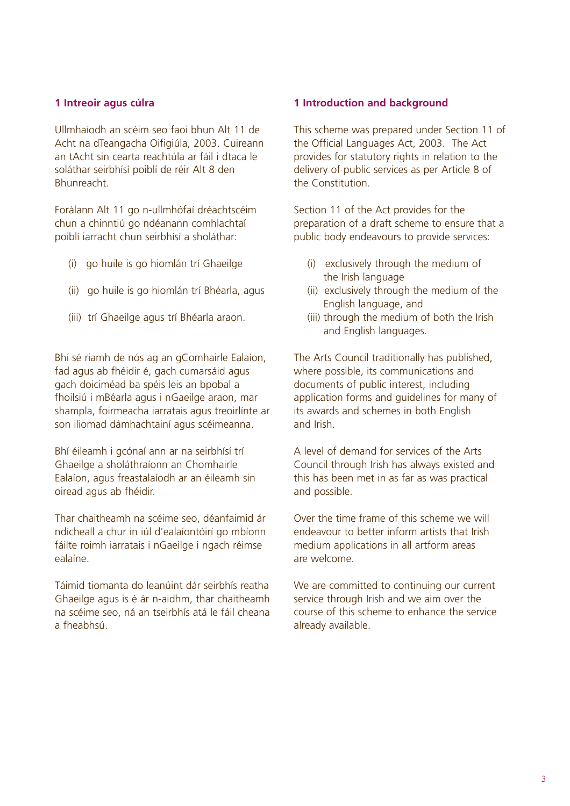#### **1 Intreoir agus cúlra**

Ullmhaíodh an scéim seo faoi bhun Alt 11 de Acht na dTeangacha Oifigiúla, 2003. Cuireann an tAcht sin cearta reachtúla ar fáil i dtaca le soláthar seirbhísí poiblí de réir Alt 8 den Bhunreacht.

Forálann Alt 11 go n-ullmhófaí dréachtscéim chun a chinntiú go ndéanann comhlachtaí poiblí iarracht chun seirbhísí a sholáthar:

- (i) go huile is go hiomlán trí Ghaeilge
- (ii) go huile is go hiomlán trí Bhéarla, agus
- (iii) trí Ghaeilge agus trí Bhéarla araon.

Bhí sé riamh de nós ag an gComhairle Ealaíon, fad agus ab fhéidir é, gach cumarsáid agus gach doiciméad ba spéis leis an bpobal a fhoilsiú i mBéarla agus i nGaeilge araon, mar shampla, foirmeacha iarratais agus treoirlínte ar son iliomad dámhachtainí agus scéimeanna.

Bhí éileamh i gcónaí ann ar na seirbhísí trí Ghaeilge a sholáthraíonn an Chomhairle Ealaíon, agus freastalaíodh ar an éileamh sin oiread agus ab fhéidir.

Thar chaitheamh na scéime seo, déanfaimid ár ndícheall a chur in iúl d'ealaíontóirí go mbíonn fáilte roimh iarratais i nGaeilge i ngach réimse ealaíne.

Táimid tiomanta do leanúint dár seirbhís reatha Ghaeilge agus is é ár n-aidhm, thar chaitheamh na scéime seo, ná an tseirbhís atá le fáil cheana a fheabhsú.

#### **1 Introduction and background**

This scheme was prepared under Section 11 of the Official Languages Act, 2003. The Act provides for statutory rights in relation to the delivery of public services as per Article 8 of the Constitution.

Section 11 of the Act provides for the preparation of a draft scheme to ensure that a public body endeavours to provide services:

- (i) exclusively through the medium of the Irish language
- (ii) exclusively through the medium of the English language, and
- (iii) through the medium of both the Irish and English languages.

The Arts Council traditionally has published, where possible, its communications and documents of public interest, including application forms and guidelines for many of its awards and schemes in both English and Irish.

A level of demand for services of the Arts Council through Irish has always existed and this has been met in as far as was practical and possible.

Over the time frame of this scheme we will endeavour to better inform artists that Irish medium applications in all artform areas are welcome.

We are committed to continuing our current service through Irish and we aim over the course of this scheme to enhance the service already available.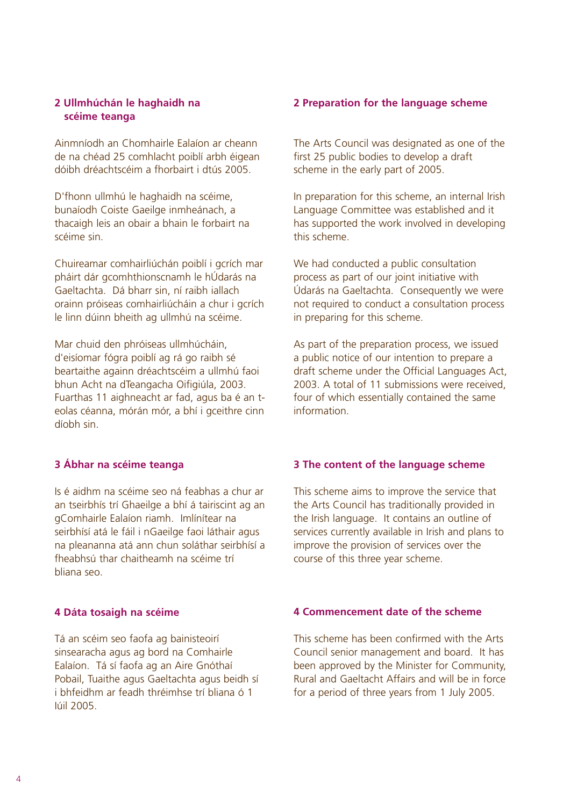### **2 Ullmhúchán le haghaidh na scéime teanga**

Ainmníodh an Chomhairle Ealaíon ar cheann de na chéad 25 comhlacht poiblí arbh éigean dóibh dréachtscéim a fhorbairt i dtús 2005.

D'fhonn ullmhú le haghaidh na scéime, bunaíodh Coiste Gaeilge inmheánach, a thacaigh leis an obair a bhain le forbairt na scéime sin.

Chuireamar comhairliúchán poiblí i gcrích mar pháirt dár gcomhthionscnamh le hÚdarás na Gaeltachta. Dá bharr sin, ní raibh iallach orainn próiseas comhairliúcháin a chur i gcrích le linn dúinn bheith ag ullmhú na scéime.

Mar chuid den phróiseas ullmhúcháin, d'eisíomar fógra poiblí ag rá go raibh sé beartaithe againn dréachtscéim a ullmhú faoi bhun Acht na dTeangacha Oifigiúla, 2003. Fuarthas 11 aighneacht ar fad, agus ba é an teolas céanna, mórán mór, a bhí i gceithre cinn díobh sin.

### **3 Ábhar na scéime teanga**

Is é aidhm na scéime seo ná feabhas a chur ar an tseirbhís trí Ghaeilge a bhí á tairiscint ag an gComhairle Ealaíon riamh. Imlínítear na seirbhísí atá le fáil i nGaeilge faoi láthair agus na pleananna atá ann chun soláthar seirbhísí a fheabhsú thar chaitheamh na scéime trí bliana seo.

#### **4 Dáta tosaigh na scéime**

Tá an scéim seo faofa ag bainisteoirí sinsearacha agus ag bord na Comhairle Ealaíon. Tá sí faofa ag an Aire Gnóthaí Pobail, Tuaithe agus Gaeltachta agus beidh sí i bhfeidhm ar feadh thréimhse trí bliana ó 1 Iúil 2005.

#### **2 Preparation for the language scheme**

The Arts Council was designated as one of the first 25 public bodies to develop a draft scheme in the early part of 2005.

In preparation for this scheme, an internal Irish Language Committee was established and it has supported the work involved in developing this scheme.

We had conducted a public consultation process as part of our joint initiative with Údarás na Gaeltachta. Consequently we were not required to conduct a consultation process in preparing for this scheme.

As part of the preparation process, we issued a public notice of our intention to prepare a draft scheme under the Official Languages Act, 2003. A total of 11 submissions were received, four of which essentially contained the same information.

#### **3 The content of the language scheme**

This scheme aims to improve the service that the Arts Council has traditionally provided in the Irish language. It contains an outline of services currently available in Irish and plans to improve the provision of services over the course of this three year scheme.

### **4 Commencement date of the scheme**

This scheme has been confirmed with the Arts Council senior management and board. It has been approved by the Minister for Community, Rural and Gaeltacht Affairs and will be in force for a period of three years from 1 July 2005.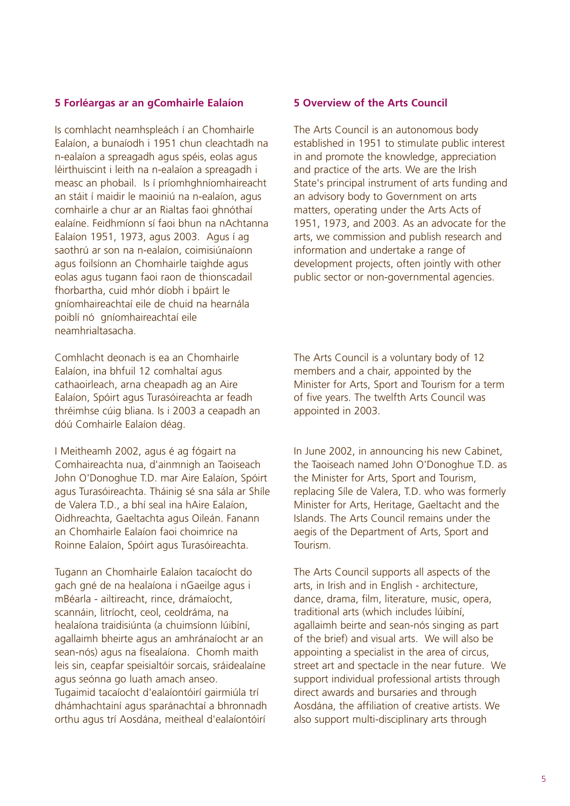#### **5 Forléargas ar an gComhairle Ealaíon**

Is comhlacht neamhspleách í an Chomhairle Ealaíon, a bunaíodh i 1951 chun cleachtadh na n-ealaíon a spreagadh agus spéis, eolas agus léirthuiscint i leith na n-ealaíon a spreagadh i measc an phobail. Is í príomhghníomhaireacht an stáit í maidir le maoiniú na n-ealaíon, agus comhairle a chur ar an Rialtas faoi ghnóthaí ealaíne. Feidhmíonn sí faoi bhun na nAchtanna Ealaíon 1951, 1973, agus 2003. Agus í ag saothrú ar son na n-ealaíon, coimisiúnaíonn agus foilsíonn an Chomhairle taighde agus eolas agus tugann faoi raon de thionscadail fhorbartha, cuid mhór díobh i bpáirt le gníomhaireachtaí eile de chuid na hearnála poiblí nó gníomhaireachtaí eile neamhrialtasacha.

Comhlacht deonach is ea an Chomhairle Ealaíon, ina bhfuil 12 comhaltaí agus cathaoirleach, arna cheapadh ag an Aire Ealaíon, Spóirt agus Turasóireachta ar feadh thréimhse cúig bliana. Is i 2003 a ceapadh an dóú Comhairle Ealaíon déag.

I Meitheamh 2002, agus é ag fógairt na Comhaireachta nua, d'ainmnigh an Taoiseach John O'Donoghue T.D. mar Aire Ealaíon, Spóirt agus Turasóireachta. Tháinig sé sna sála ar Shíle de Valera T.D., a bhí seal ina hAire Ealaíon, Oidhreachta, Gaeltachta agus Oileán. Fanann an Chomhairle Ealaíon faoi choimrice na Roinne Ealaíon, Spóirt agus Turasóireachta.

Tugann an Chomhairle Ealaíon tacaíocht do gach gné de na healaíona i nGaeilge agus i mBéarla - ailtireacht, rince, drámaíocht, scannáin, litríocht, ceol, ceoldráma, na healaíona traidisiúnta (a chuimsíonn lúibíní, agallaimh bheirte agus an amhránaíocht ar an sean-nós) agus na físealaíona. Chomh maith leis sin, ceapfar speisialtóir sorcais, sráidealaíne agus seónna go luath amach anseo. Tugaimid tacaíocht d'ealaíontóirí gairmiúla trí dhámhachtainí agus sparánachtaí a bhronnadh orthu agus trí Aosdána, meitheal d'ealaíontóirí

#### **5 Overview of the Arts Council**

The Arts Council is an autonomous body established in 1951 to stimulate public interest in and promote the knowledge, appreciation and practice of the arts. We are the Irish State's principal instrument of arts funding and an advisory body to Government on arts matters, operating under the Arts Acts of 1951, 1973, and 2003. As an advocate for the arts, we commission and publish research and information and undertake a range of development projects, often jointly with other public sector or non-governmental agencies.

The Arts Council is a voluntary body of 12 members and a chair, appointed by the Minister for Arts, Sport and Tourism for a term of five years. The twelfth Arts Council was appointed in 2003.

In June 2002, in announcing his new Cabinet, the Taoiseach named John O'Donoghue T.D. as the Minister for Arts, Sport and Tourism, replacing Síle de Valera, T.D. who was formerly Minister for Arts, Heritage, Gaeltacht and the Islands. The Arts Council remains under the aegis of the Department of Arts, Sport and Tourism.

The Arts Council supports all aspects of the arts, in Irish and in English - architecture, dance, drama, film, literature, music, opera, traditional arts (which includes lúibíní, agallaimh beirte and sean-nós singing as part of the brief) and visual arts. We will also be appointing a specialist in the area of circus, street art and spectacle in the near future. We support individual professional artists through direct awards and bursaries and through Aosdána, the affiliation of creative artists. We also support multi-disciplinary arts through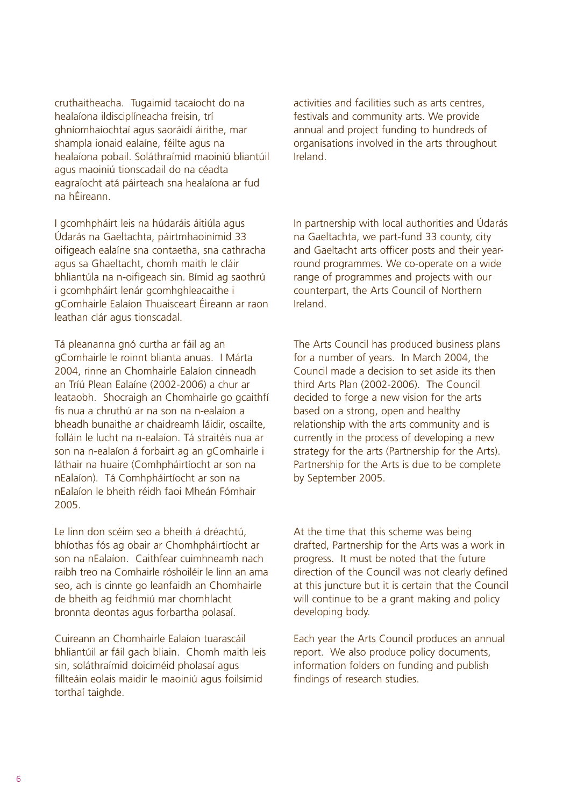cruthaitheacha. Tugaimid tacaíocht do na healaíona ildisciplíneacha freisin, trí ghníomhaíochtaí agus saoráidí áirithe, mar shampla ionaid ealaíne, féilte agus na healaíona pobail. Soláthraímid maoiniú bliantúil agus maoiniú tionscadail do na céadta eagraíocht atá páirteach sna healaíona ar fud na hÉireann.

I gcomhpháirt leis na húdaráis áitiúla agus Údarás na Gaeltachta, páirtmhaoinímid 33 oifigeach ealaíne sna contaetha, sna cathracha agus sa Ghaeltacht, chomh maith le cláir bhliantúla na n-oifigeach sin. Bímid ag saothrú i gcomhpháirt lenár gcomhghleacaithe i gComhairle Ealaíon Thuaisceart Éireann ar raon leathan clár agus tionscadal.

Tá pleananna gnó curtha ar fáil ag an gComhairle le roinnt blianta anuas. I Márta 2004, rinne an Chomhairle Ealaíon cinneadh an Tríú Plean Ealaíne (2002-2006) a chur ar leataobh. Shocraigh an Chomhairle go gcaithfí fís nua a chruthú ar na son na n-ealaíon a bheadh bunaithe ar chaidreamh láidir, oscailte, folláin le lucht na n-ealaíon. Tá straitéis nua ar son na n-ealaíon á forbairt ag an gComhairle i láthair na huaire (Comhpháirtíocht ar son na nEalaíon). Tá Comhpháirtíocht ar son na nEalaíon le bheith réidh faoi Mheán Fómhair 2005.

Le linn don scéim seo a bheith á dréachtú, bhíothas fós ag obair ar Chomhpháirtíocht ar son na nEalaíon. Caithfear cuimhneamh nach raibh treo na Comhairle róshoiléir le linn an ama seo, ach is cinnte go leanfaidh an Chomhairle de bheith ag feidhmiú mar chomhlacht bronnta deontas agus forbartha polasaí.

Cuireann an Chomhairle Ealaíon tuarascáil bhliantúil ar fáil gach bliain. Chomh maith leis sin, soláthraímid doiciméid pholasaí agus fillteáin eolais maidir le maoiniú agus foilsímid torthaí taighde.

activities and facilities such as arts centres, festivals and community arts. We provide annual and project funding to hundreds of organisations involved in the arts throughout Ireland.

In partnership with local authorities and Údarás na Gaeltachta, we part-fund 33 county, city and Gaeltacht arts officer posts and their yearround programmes. We co-operate on a wide range of programmes and projects with our counterpart, the Arts Council of Northern Ireland.

The Arts Council has produced business plans for a number of years. In March 2004, the Council made a decision to set aside its then third Arts Plan (2002-2006). The Council decided to forge a new vision for the arts based on a strong, open and healthy relationship with the arts community and is currently in the process of developing a new strategy for the arts (Partnership for the Arts). Partnership for the Arts is due to be complete by September 2005.

At the time that this scheme was being drafted, Partnership for the Arts was a work in progress. It must be noted that the future direction of the Council was not clearly defined at this juncture but it is certain that the Council will continue to be a grant making and policy developing body.

Each year the Arts Council produces an annual report. We also produce policy documents, information folders on funding and publish findings of research studies.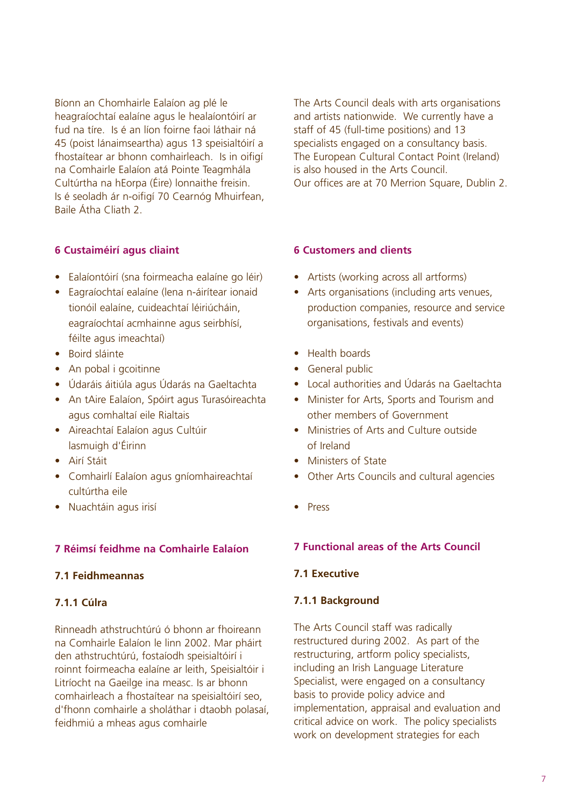Bíonn an Chomhairle Ealaíon ag plé le heagraíochtaí ealaíne agus le healaíontóirí ar fud na tíre. Is é an líon foirne faoi láthair ná 45 (poist lánaimseartha) agus 13 speisialtóirí a fhostaítear ar bhonn comhairleach. Is in oifigí na Comhairle Ealaíon atá Pointe Teagmhála Cultúrtha na hEorpa (Éire) lonnaithe freisin. Is é seoladh ár n-oifigí 70 Cearnóg Mhuirfean, Baile Átha Cliath 2.

The Arts Council deals with arts organisations and artists nationwide. We currently have a staff of 45 (full-time positions) and 13 specialists engaged on a consultancy basis. The European Cultural Contact Point (Ireland) is also housed in the Arts Council. Our offices are at 70 Merrion Square, Dublin 2.

#### **6 Custaiméirí agus cliaint**

- Ealaíontóirí (sna foirmeacha ealaíne go léir)
- Eagraíochtaí ealaíne (lena n-áirítear ionaid tionóil ealaíne, cuideachtaí léiriúcháin, eagraíochtaí acmhainne agus seirbhísí, féilte agus imeachtaí)
- Boird sláinte
- An pobal i gcoitinne
- Údaráis áitiúla agus Údarás na Gaeltachta
- An tAire Ealaíon, Spóirt agus Turasóireachta agus comhaltaí eile Rialtais
- Aireachtaí Ealaíon agus Cultúir lasmuigh d'Éirinn
- Airí Stáit
- Comhairlí Ealaíon agus gníomhaireachtaí cultúrtha eile
- Nuachtáin agus irisí

### **7 Réimsí feidhme na Comhairle Ealaíon**

### **7.1 Feidhmeannas**

### **7.1.1 Cúlra**

Rinneadh athstruchtúrú ó bhonn ar fhoireann na Comhairle Ealaíon le linn 2002. Mar pháirt den athstruchtúrú, fostaíodh speisialtóirí i roinnt foirmeacha ealaíne ar leith, Speisialtóir i Litríocht na Gaeilge ina measc. Is ar bhonn comhairleach a fhostaítear na speisialtóirí seo, d'fhonn comhairle a sholáthar i dtaobh polasaí, feidhmiú a mheas agus comhairle

#### **6 Customers and clients**

- Artists (working across all artforms)
- Arts organisations (including arts venues, production companies, resource and service organisations, festivals and events)
- Health boards
- General public
- Local authorities and Údarás na Gaeltachta
- Minister for Arts, Sports and Tourism and other members of Government
- Ministries of Arts and Culture outside of Ireland
- Ministers of State
- Other Arts Councils and cultural agencies
- Press

#### **7 Functional areas of the Arts Council**

#### **7.1 Executive**

#### **7.1.1 Background**

The Arts Council staff was radically restructured during 2002. As part of the restructuring, artform policy specialists, including an Irish Language Literature Specialist, were engaged on a consultancy basis to provide policy advice and implementation, appraisal and evaluation and critical advice on work. The policy specialists work on development strategies for each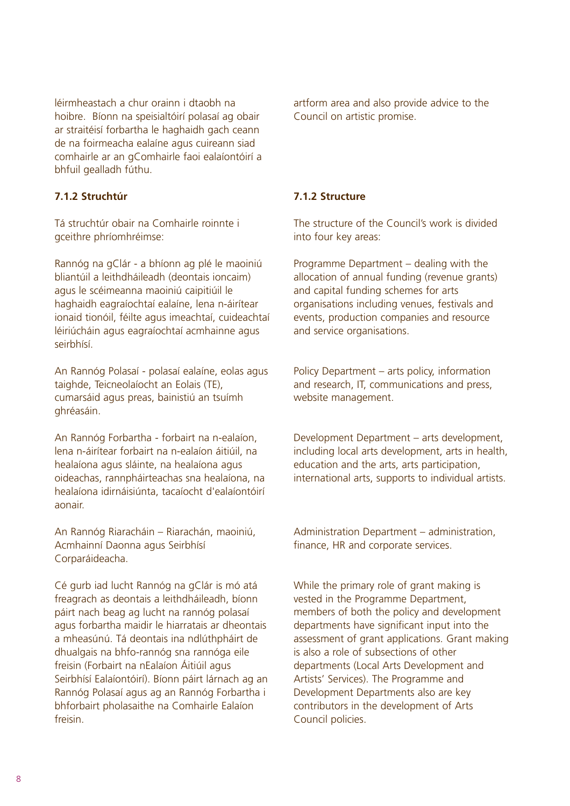léirmheastach a chur orainn i dtaobh na hoibre. Bíonn na speisialtóirí polasaí ag obair ar straitéisí forbartha le haghaidh gach ceann de na foirmeacha ealaíne agus cuireann siad comhairle ar an gComhairle faoi ealaíontóirí a bhfuil gealladh fúthu.

### **7.1.2 Struchtúr**

Tá struchtúr obair na Comhairle roinnte i gceithre phríomhréimse:

Rannóg na gClár - a bhíonn ag plé le maoiniú bliantúil a leithdháileadh (deontais ioncaim) agus le scéimeanna maoiniú caipitiúil le haghaidh eagraíochtaí ealaíne, lena n-áirítear ionaid tionóil, féilte agus imeachtaí, cuideachtaí léiriúcháin agus eagraíochtaí acmhainne agus seirbhísí.

An Rannóg Polasaí - polasaí ealaíne, eolas agus taighde, Teicneolaíocht an Eolais (TE), cumarsáid agus preas, bainistiú an tsuímh ghréasáin.

An Rannóg Forbartha - forbairt na n-ealaíon, lena n-áirítear forbairt na n-ealaíon áitiúil, na healaíona agus sláinte, na healaíona agus oideachas, rannpháirteachas sna healaíona, na healaíona idirnáisiúnta, tacaíocht d'ealaíontóirí aonair.

An Rannóg Riaracháin – Riarachán, maoiniú, Acmhainní Daonna agus Seirbhísí Corparáideacha.

Cé gurb iad lucht Rannóg na gClár is mó atá freagrach as deontais a leithdháileadh, bíonn páirt nach beag ag lucht na rannóg polasaí agus forbartha maidir le hiarratais ar dheontais a mheasúnú. Tá deontais ina ndlúthpháirt de dhualgais na bhfo-rannóg sna rannóga eile freisin (Forbairt na nEalaíon Áitiúil agus Seirbhísí Ealaíontóirí). Bíonn páirt lárnach ag an Rannóg Polasaí agus ag an Rannóg Forbartha i bhforbairt pholasaithe na Comhairle Ealaíon freisin.

artform area and also provide advice to the Council on artistic promise.

### **7.1.2 Structure**

The structure of the Council's work is divided into four key areas:

Programme Department – dealing with the allocation of annual funding (revenue grants) and capital funding schemes for arts organisations including venues, festivals and events, production companies and resource and service organisations.

Policy Department – arts policy, information and research, IT, communications and press, website management.

Development Department – arts development, including local arts development, arts in health, education and the arts, arts participation, international arts, supports to individual artists.

Administration Department – administration, finance, HR and corporate services.

While the primary role of grant making is vested in the Programme Department, members of both the policy and development departments have significant input into the assessment of grant applications. Grant making is also a role of subsections of other departments (Local Arts Development and Artists' Services). The Programme and Development Departments also are key contributors in the development of Arts Council policies.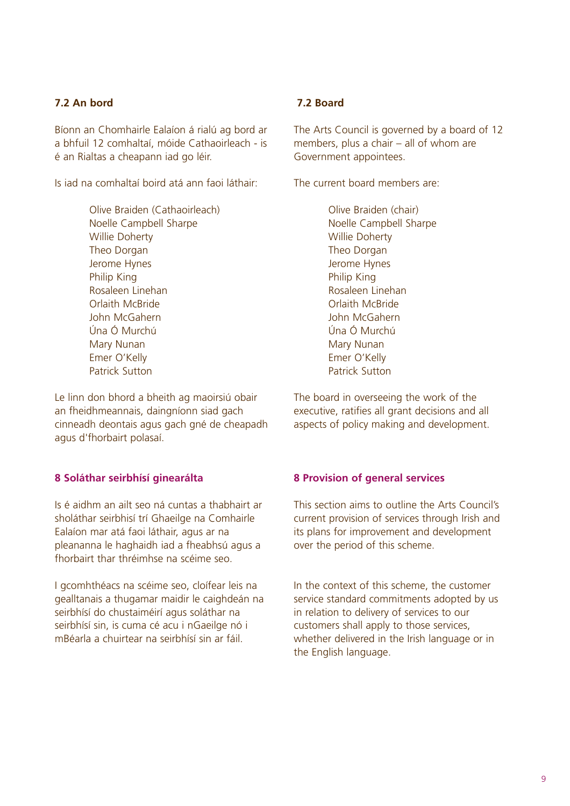## **7.2 An bord**

Bíonn an Chomhairle Ealaíon á rialú ag bord ar a bhfuil 12 comhaltaí, móide Cathaoirleach - is é an Rialtas a cheapann iad go léir.

Is iad na comhaltaí boird atá ann faoi láthair:

Olive Braiden (Cathaoirleach) Noelle Campbell Sharpe Willie Doherty Theo Dorgan Jerome Hynes Philip King Rosaleen Linehan Orlaith McBride John McGahern Úna Ó Murchú Mary Nunan Emer O'Kelly Patrick Sutton

Le linn don bhord a bheith ag maoirsiú obair an fheidhmeannais, daingníonn siad gach cinneadh deontais agus gach gné de cheapadh agus d'fhorbairt polasaí.

## **8 Soláthar seirbhísí ginearálta**

Is é aidhm an ailt seo ná cuntas a thabhairt ar sholáthar seirbhisí trí Ghaeilge na Comhairle Ealaíon mar atá faoi láthair, agus ar na pleananna le haghaidh iad a fheabhsú agus a fhorbairt thar thréimhse na scéime seo.

I gcomhthéacs na scéime seo, cloífear leis na gealltanais a thugamar maidir le caighdeán na seirbhísí do chustaiméirí agus soláthar na seirbhísí sin, is cuma cé acu i nGaeilge nó i mBéarla a chuirtear na seirbhísí sin ar fáil.

### **7.2 Board**

The Arts Council is governed by a board of 12 members, plus a chair – all of whom are Government appointees.

The current board members are:

Olive Braiden (chair) Noelle Campbell Sharpe Willie Doherty Theo Dorgan Jerome Hynes Philip King Rosaleen Linehan Orlaith McBride John McGahern Úna Ó Murchú Mary Nunan Emer O'Kelly Patrick Sutton

The board in overseeing the work of the executive, ratifies all grant decisions and all aspects of policy making and development.

## **8 Provision of general services**

This section aims to outline the Arts Council's current provision of services through Irish and its plans for improvement and development over the period of this scheme.

In the context of this scheme, the customer service standard commitments adopted by us in relation to delivery of services to our customers shall apply to those services, whether delivered in the Irish language or in the English language.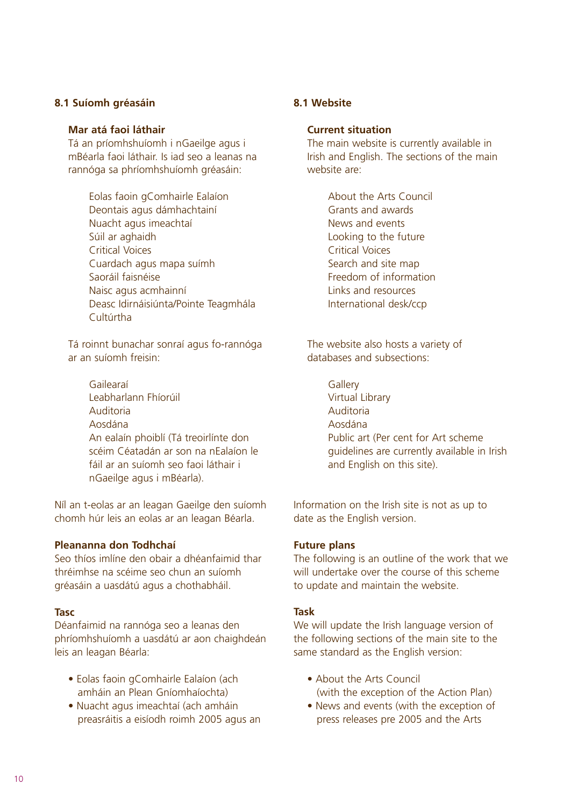### **8.1 Suíomh gréasáin**

#### **Mar atá faoi láthair**

Tá an príomhshuíomh i nGaeilge agus i mBéarla faoi láthair. Is iad seo a leanas na rannóga sa phríomhshuíomh gréasáin:

> Eolas faoin gComhairle Ealaíon Deontais agus dámhachtainí Nuacht agus imeachtaí Súil ar aghaidh Critical Voices Cuardach agus mapa suímh Saoráil faisnéise Naisc agus acmhainní Deasc Idirnáisiúnta/Pointe Teagmhála Cultúrtha

Tá roinnt bunachar sonraí agus fo-rannóga ar an suíomh freisin:

> Gailearaí Leabharlann Fhíorúil Auditoria Aosdána An ealaín phoiblí (Tá treoirlínte don scéim Céatadán ar son na nEalaíon le fáil ar an suíomh seo faoi láthair i nGaeilge agus i mBéarla).

Níl an t-eolas ar an leagan Gaeilge den suíomh chomh húr leis an eolas ar an leagan Béarla.

#### **Pleananna don Todhchaí**

Seo thíos imlíne den obair a dhéanfaimid thar thréimhse na scéime seo chun an suíomh gréasáin a uasdátú agus a chothabháil.

#### **Tasc**

Déanfaimid na rannóga seo a leanas den phríomhshuíomh a uasdátú ar aon chaighdeán leis an leagan Béarla:

- Eolas faoin gComhairle Ealaíon (ach amháin an Plean Gníomhaíochta)
- Nuacht agus imeachtaí (ach amháin preasráitis a eisíodh roimh 2005 agus an

### **8.1 Website**

#### **Current situation**

The main website is currently available in Irish and English. The sections of the main website are:

> About the Arts Council Grants and awards News and events Looking to the future Critical Voices Search and site map Freedom of information Links and resources International desk/ccp

The website also hosts a variety of databases and subsections:

> **Gallerv** Virtual Library Auditoria Aosdána Public art (Per cent for Art scheme guidelines are currently available in Irish and English on this site).

Information on the Irish site is not as up to date as the English version.

#### **Future plans**

The following is an outline of the work that we will undertake over the course of this scheme to update and maintain the website.

#### **Task**

We will update the Irish language version of the following sections of the main site to the same standard as the English version:

- About the Arts Council (with the exception of the Action Plan)
- News and events (with the exception of press releases pre 2005 and the Arts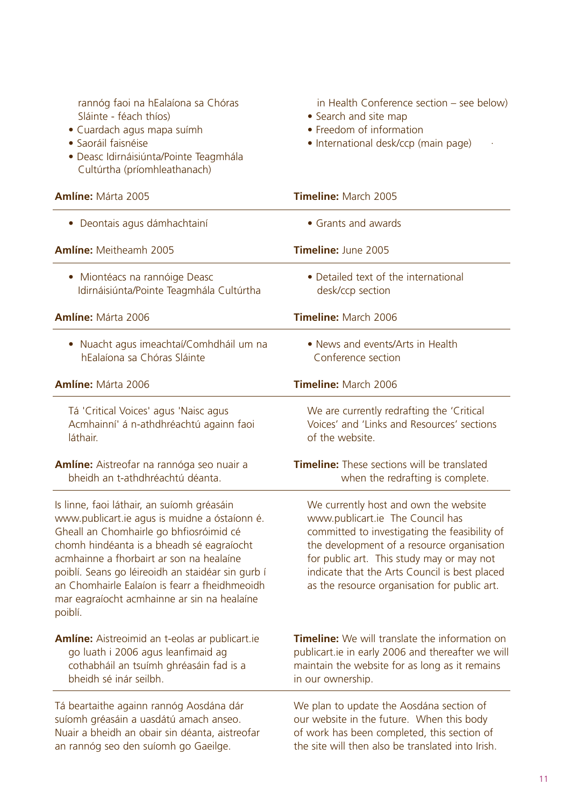| rannóg faoi na hEalaíona sa Chóras<br>Sláinte - féach thíos)<br>· Cuardach agus mapa suímh<br>· Saoráil faisnéise<br>· Deasc Idirnáisiúnta/Pointe Teagmhála<br>Cultúrtha (príomhleathanach)                                                                                                                                                                                                     | in Health Conference section - see below)<br>• Search and site map<br>• Freedom of information<br>· International desk/ccp (main page)                                                                                                                                                                                 |
|-------------------------------------------------------------------------------------------------------------------------------------------------------------------------------------------------------------------------------------------------------------------------------------------------------------------------------------------------------------------------------------------------|------------------------------------------------------------------------------------------------------------------------------------------------------------------------------------------------------------------------------------------------------------------------------------------------------------------------|
| <b>Amlíne: Márta 2005</b>                                                                                                                                                                                                                                                                                                                                                                       | Timeline: March 2005                                                                                                                                                                                                                                                                                                   |
| • Deontais agus dámhachtainí                                                                                                                                                                                                                                                                                                                                                                    | • Grants and awards                                                                                                                                                                                                                                                                                                    |
| Amlíne: Meitheamh 2005                                                                                                                                                                                                                                                                                                                                                                          | Timeline: June 2005                                                                                                                                                                                                                                                                                                    |
| • Miontéacs na rannóige Deasc<br>Idirnáisiúnta/Pointe Teagmhála Cultúrtha                                                                                                                                                                                                                                                                                                                       | • Detailed text of the international<br>desk/ccp section                                                                                                                                                                                                                                                               |
| Amlíne: Márta 2006                                                                                                                                                                                                                                                                                                                                                                              | Timeline: March 2006                                                                                                                                                                                                                                                                                                   |
| • Nuacht agus imeachtaí/Comhdháil um na<br>hEalaíona sa Chóras Sláinte                                                                                                                                                                                                                                                                                                                          | • News and events/Arts in Health<br>Conference section                                                                                                                                                                                                                                                                 |
| <b>Amlíne: Márta 2006</b>                                                                                                                                                                                                                                                                                                                                                                       | Timeline: March 2006                                                                                                                                                                                                                                                                                                   |
| Tá 'Critical Voices' agus 'Naisc agus<br>Acmhainní' á n-athdhréachtú againn faoi<br>láthair.                                                                                                                                                                                                                                                                                                    | We are currently redrafting the 'Critical<br>Voices' and 'Links and Resources' sections<br>of the website.                                                                                                                                                                                                             |
| Amlíne: Aistreofar na rannóga seo nuair a<br>bheidh an t-athdhréachtú déanta.                                                                                                                                                                                                                                                                                                                   | <b>Timeline:</b> These sections will be translated<br>when the redrafting is complete.                                                                                                                                                                                                                                 |
| Is linne, faoi láthair, an suíomh gréasáin<br>www.publicart.ie agus is muidne a óstaíonn é.<br>Gheall an Chomhairle go bhfiosróimid cé<br>chomh hindéanta is a bheadh sé eagraíocht<br>acmhainne a fhorbairt ar son na healaíne<br>poiblí. Seans go léireoidh an staidéar sin gurb í<br>an Chomhairle Ealaíon is fearr a fheidhmeoidh<br>mar eagraíocht acmhainne ar sin na healaíne<br>poiblí. | We currently host and own the website<br>www.publicart.ie The Council has<br>committed to investigating the feasibility of<br>the development of a resource organisation<br>for public art. This study may or may not<br>indicate that the Arts Council is best placed<br>as the resource organisation for public art. |
| Amlíne: Aistreoimid an t-eolas ar publicart.ie<br>go luath i 2006 agus leanfimaid ag<br>cothabháil an tsuímh ghréasáin fad is a<br>bheidh sé inár seilbh.                                                                                                                                                                                                                                       | <b>Timeline:</b> We will translate the information on<br>publicart.ie in early 2006 and thereafter we will<br>maintain the website for as long as it remains<br>in our ownership.                                                                                                                                      |
| Tá beartaithe againn rannóg Aosdána dár<br>suíomh gréasáin a uasdátú amach anseo.<br>Nuair a bheidh an obair sin déanta, aistreofar                                                                                                                                                                                                                                                             | We plan to update the Aosdána section of<br>our website in the future. When this body<br>of work has been completed, this section of                                                                                                                                                                                   |

an rannóg seo den suíomh go Gaeilge.

the site will then also be translated into Irish.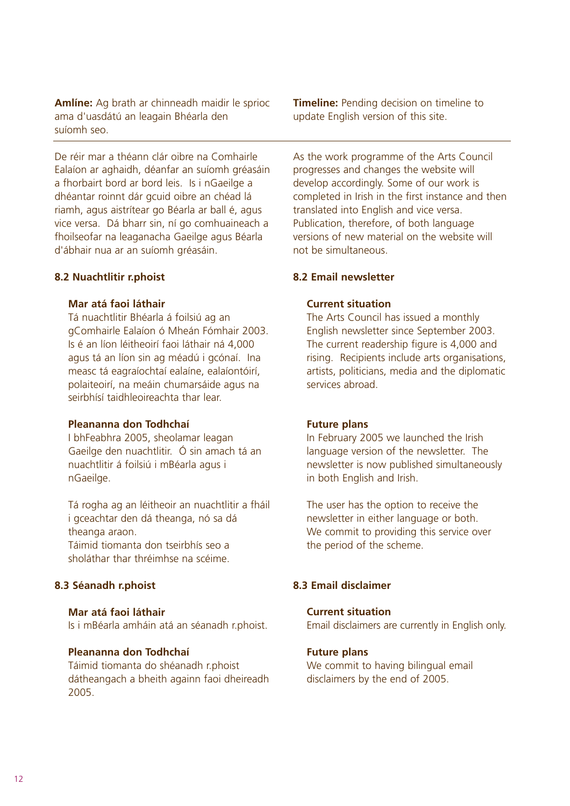**Amlíne:** Ag brath ar chinneadh maidir le sprioc ama d'uasdátú an leagain Bhéarla den suíomh seo.

De réir mar a théann clár oibre na Comhairle Ealaíon ar aghaidh, déanfar an suíomh gréasáin a fhorbairt bord ar bord leis. Is i nGaeilge a dhéantar roinnt dár gcuid oibre an chéad lá riamh, agus aistrítear go Béarla ar ball é, agus vice versa. Dá bharr sin, ní go comhuaineach a fhoilseofar na leaganacha Gaeilge agus Béarla d'ábhair nua ar an suíomh gréasáin.

#### **8.2 Nuachtlitir r.phoist**

#### **Mar atá faoi láthair**

Tá nuachtlitir Bhéarla á foilsiú ag an gComhairle Ealaíon ó Mheán Fómhair 2003. Is é an líon léitheoirí faoi láthair ná 4,000 agus tá an líon sin ag méadú i gcónaí. Ina measc tá eagraíochtaí ealaíne, ealaíontóirí, polaiteoirí, na meáin chumarsáide agus na seirbhísí taidhleoireachta thar lear.

#### **Pleananna don Todhchaí**

I bhFeabhra 2005, sheolamar leagan Gaeilge den nuachtlitir. Ó sin amach tá an nuachtlitir á foilsiú i mBéarla agus i nGaeilge.

Tá rogha ag an léitheoir an nuachtlitir a fháil i gceachtar den dá theanga, nó sa dá theanga araon.

Táimid tiomanta don tseirbhís seo a sholáthar thar thréimhse na scéime.

#### **8.3 Séanadh r.phoist**

#### **Mar atá faoi láthair**

Is i mBéarla amháin atá an séanadh r.phoist.

### **Pleananna don Todhchaí**

Táimid tiomanta do shéanadh r.phoist dátheangach a bheith againn faoi dheireadh 2005.

**Timeline:** Pending decision on timeline to update English version of this site.

As the work programme of the Arts Council progresses and changes the website will develop accordingly. Some of our work is completed in Irish in the first instance and then translated into English and vice versa. Publication, therefore, of both language versions of new material on the website will not be simultaneous.

#### **8.2 Email newsletter**

#### **Current situation**

The Arts Council has issued a monthly English newsletter since September 2003. The current readership figure is 4,000 and rising. Recipients include arts organisations, artists, politicians, media and the diplomatic services abroad.

#### **Future plans**

In February 2005 we launched the Irish language version of the newsletter. The newsletter is now published simultaneously in both English and Irish.

The user has the option to receive the newsletter in either language or both. We commit to providing this service over the period of the scheme.

### **8.3 Email disclaimer**

## **Current situation**

Email disclaimers are currently in English only.

#### **Future plans**

We commit to having bilingual email disclaimers by the end of 2005.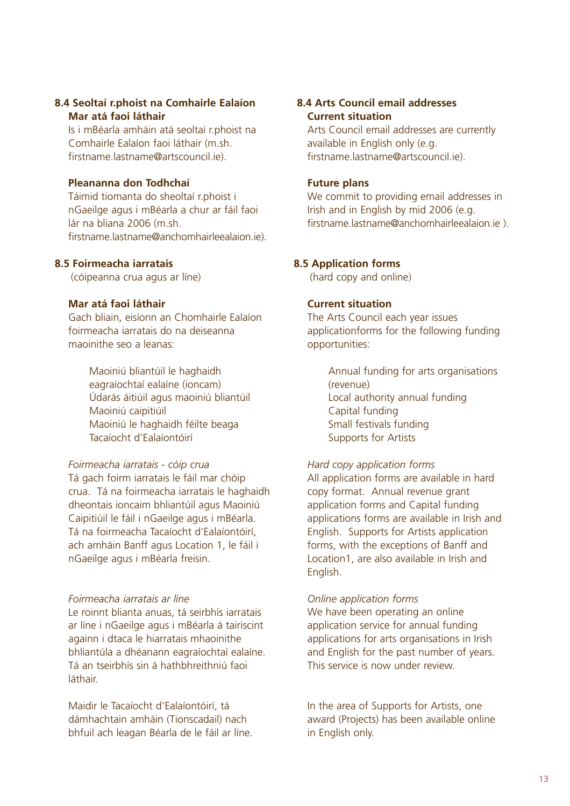### **8.4 Seoltaí r.phoist na Comhairle Ealaíon Mar atá faoi láthair**

Is i mBéarla amháin atá seoltaí r.phoist na Comhairle Ealaíon faoi láthair (m.sh. firstname.lastname@artscouncil.je)

### **Pleananna don Todhchaí**

Táimid tiomanta do sheoltaí r.phoist i nGaeilge agus i mBéarla a chur ar fáil faoi lár na bliana 2006 (m.sh. firstname.lastname@anchomhairleealaion.ie).

### **8.5 Foirmeacha iarratais**

(cóipeanna crua agus ar líne)

### **Mar atá faoi láthair**

Gach bliain, eisíonn an Chomhairle Ealaíon foirmeacha iarratais do na deiseanna maoinithe seo a leanas:

> Maoiniú bliantúil le haghaidh eagraíochtaí ealaíne (ioncam) Údarás áitiúil agus maoiniú bliantúil Maoiniú caipitiúil Maoiniú le haghaidh féilte beaga Tacaíocht d'Ealaíontóirí

## *Foirmeacha iarratais - cóip crua*

Tá gach foirm iarratais le fáil mar chóip crua. Tá na foirmeacha iarratais le haghaidh dheontais ioncaim bhliantúil agus Maoiniú Caipitiúil le fáil i nGaeilge agus i mBéarla. Tá na foirmeacha Tacaíocht d'Ealaíontóirí, ach amháin Banff agus Location 1, le fáil i nGaeilge agus i mBéarla freisin.

## *Foirmeacha iarratais ar líne*

Le roinnt blianta anuas, tá seirbhís iarratais ar líne i nGaeilge agus i mBéarla á tairiscint againn i dtaca le hiarratais mhaoinithe bhliantúla a dhéanann eagraíochtaí ealaíne. Tá an tseirbhís sin á hathbhreithniú faoi láthair.

Maidir le Tacaíocht d'Ealaíontóirí, tá dámhachtain amháin (Tionscadail) nach bhfuil ach leagan Béarla de le fáil ar líne.

## **8.4 Arts Council email addresses Current situation**

Arts Council email addresses are currently available in English only (e.g. firstname.lastname@artscouncil.je)

### **Future plans**

We commit to providing email addresses in Irish and in English by mid 2006 (e.g. firstname.lastname@anchomhairleealaion.ie ).

### **8.5 Application forms**

(hard copy and online)

### **Current situation**

The Arts Council each year issues applicationforms for the following funding opportunities:

> Annual funding for arts organisations (revenue) Local authority annual funding Capital funding Small festivals funding Supports for Artists

### *Hard copy application forms*

All application forms are available in hard copy format. Annual revenue grant application forms and Capital funding applications forms are available in Irish and English. Supports for Artists application forms, with the exceptions of Banff and Location1, are also available in Irish and English.

### *Online application forms*

We have been operating an online application service for annual funding applications for arts organisations in Irish and English for the past number of years. This service is now under review.

In the area of Supports for Artists, one award (Projects) has been available online in English only.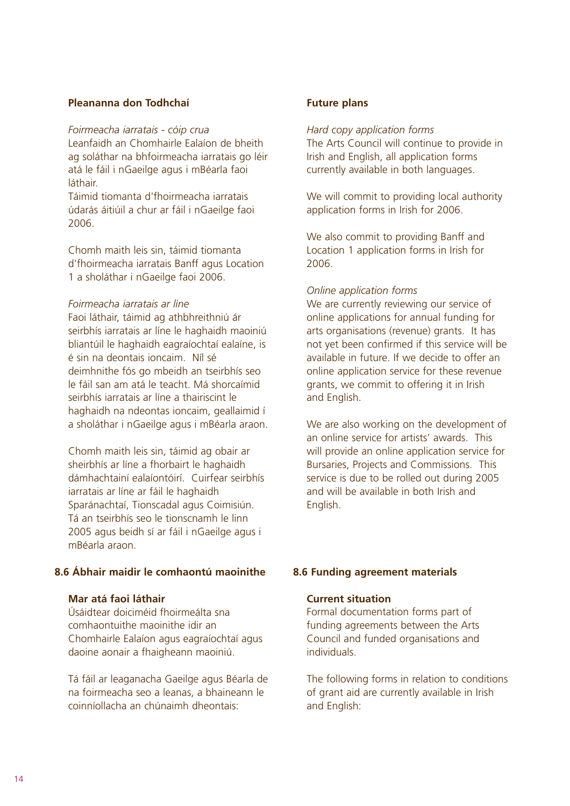### **Pleananna don Todhchaí**

*Foirmeacha iarratais - cóip crua* Leanfaidh an Chomhairle Ealaíon de bheith ag soláthar na bhfoirmeacha iarratais go léir atá le fáil i nGaeilge agus i mBéarla faoi láthair.

Táimid tiomanta d'fhoirmeacha iarratais údarás áitiúil a chur ar fáil i nGaeilge faoi 2006.

Chomh maith leis sin, táimid tiomanta d'fhoirmeacha iarratais Banff agus Location 1 a sholáthar i nGaeilge faoi 2006.

#### *Foirmeacha iarratais ar líne*

Faoi láthair, táimid ag athbhreithniú ár seirbhís iarratais ar líne le haghaidh maoiniú bliantúil le haghaidh eagraíochtaí ealaíne, is é sin na deontais ioncaim. Níl sé deimhnithe fós go mbeidh an tseirbhís seo le fáil san am atá le teacht. Má shorcaímid seirbhís iarratais ar líne a thairiscint le haghaidh na ndeontas ioncaim, geallaimid í a sholáthar i nGaeilge agus i mBéarla araon.

Chomh maith leis sin, táimid ag obair ar sheirbhís ar líne a fhorbairt le haghaidh dámhachtainí ealaíontóirí. Cuirfear seirbhís iarratais ar líne ar fáil le haghaidh Sparánachtaí, Tionscadal agus Coimisiún. Tá an tseirbhís seo le tionscnamh le linn 2005 agus beidh sí ar fáil i nGaeilge agus i mBéarla araon.

### **8.6 Ábhair maidir le comhaontú maoinithe**

#### **Mar atá faoi láthair**

Úsáidtear doiciméid fhoirmeálta sna comhaontuithe maoinithe idir an Chomhairle Ealaíon agus eagraíochtaí agus daoine aonair a fhaigheann maoiniú.

Tá fáil ar leaganacha Gaeilge agus Béarla de na foirmeacha seo a leanas, a bhaineann le coinníollacha an chúnaimh dheontais:

### **Future plans**

#### *Hard copy application forms*

The Arts Council will continue to provide in Irish and English, all application forms currently available in both languages.

We will commit to providing local authority application forms in Irish for 2006.

We also commit to providing Banff and Location 1 application forms in Irish for 2006.

#### *Online application forms*

We are currently reviewing our service of online applications for annual funding for arts organisations (revenue) grants. It has not yet been confirmed if this service will be available in future. If we decide to offer an online application service for these revenue grants, we commit to offering it in Irish and English.

We are also working on the development of an online service for artists' awards. This will provide an online application service for Bursaries, Projects and Commissions. This service is due to be rolled out during 2005 and will be available in both Irish and English.

### **8.6 Funding agreement materials**

#### **Current situation**

Formal documentation forms part of funding agreements between the Arts Council and funded organisations and individuals.

The following forms in relation to conditions of grant aid are currently available in Irish and English: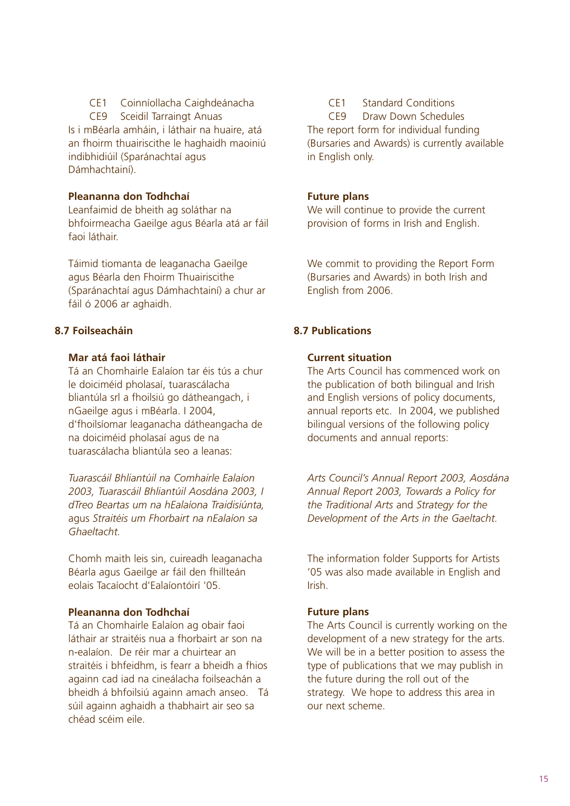CE1 Coinníollacha Caighdeánacha

CE9 Sceidil Tarraingt Anuas Is i mBéarla amháin, i láthair na huaire, atá an fhoirm thuairiscithe le haghaidh maoiniú indibhidiúil (Sparánachtaí agus Dámhachtainí).

## **Pleananna don Todhchaí**

Leanfaimid de bheith ag soláthar na bhfoirmeacha Gaeilge agus Béarla atá ar fáil faoi láthair.

Táimid tiomanta de leaganacha Gaeilge agus Béarla den Fhoirm Thuairiscithe (Sparánachtaí agus Dámhachtainí) a chur ar fáil ó 2006 ar aghaidh.

## **8.7 Foilseacháin**

## **Mar atá faoi láthair**

Tá an Chomhairle Ealaíon tar éis tús a chur le doiciméid pholasaí, tuarascálacha bliantúla srl a fhoilsiú go dátheangach, i nGaeilge agus i mBéarla. I 2004, d'fhoilsíomar leaganacha dátheangacha de na doiciméid pholasaí agus de na tuarascálacha bliantúla seo a leanas:

*Tuarascáil Bhliantúil na Comhairle Ealaíon 2003, Tuarascáil Bhliantúil Aosdána 2003, I dTreo Beartas um na hEalaíona Traidisiúnta,*  agus *Straitéis um Fhorbairt na nEalaíon sa Ghaeltacht.*

Chomh maith leis sin, cuireadh leaganacha Béarla agus Gaeilge ar fáil den fhillteán eolais Tacaíocht d'Ealaíontóirí '05.

## **Pleananna don Todhchaí**

Tá an Chomhairle Ealaíon ag obair faoi láthair ar straitéis nua a fhorbairt ar son na n-ealaíon. De réir mar a chuirtear an straitéis i bhfeidhm, is fearr a bheidh a fhios againn cad iad na cineálacha foilseachán a bheidh á bhfoilsiú againn amach anseo. Tá súil againn aghaidh a thabhairt air seo sa chéad scéim eile.

CE1 Standard Conditions

CE9 Draw Down Schedules The report form for individual funding (Bursaries and Awards) is currently available in English only.

## **Future plans**

We will continue to provide the current provision of forms in Irish and English.

We commit to providing the Report Form (Bursaries and Awards) in both Irish and English from 2006.

## **8.7 Publications**

## **Current situation**

The Arts Council has commenced work on the publication of both bilingual and Irish and English versions of policy documents, annual reports etc. In 2004, we published bilingual versions of the following policy documents and annual reports:

*Arts Council's Annual Report 2003, Aosdána Annual Report 2003, Towards a Policy for the Traditional Arts* and *Strategy for the Development of the Arts in the Gaeltacht.*

The information folder Supports for Artists '05 was also made available in English and Irish.

## **Future plans**

The Arts Council is currently working on the development of a new strategy for the arts. We will be in a better position to assess the type of publications that we may publish in the future during the roll out of the strategy. We hope to address this area in our next scheme.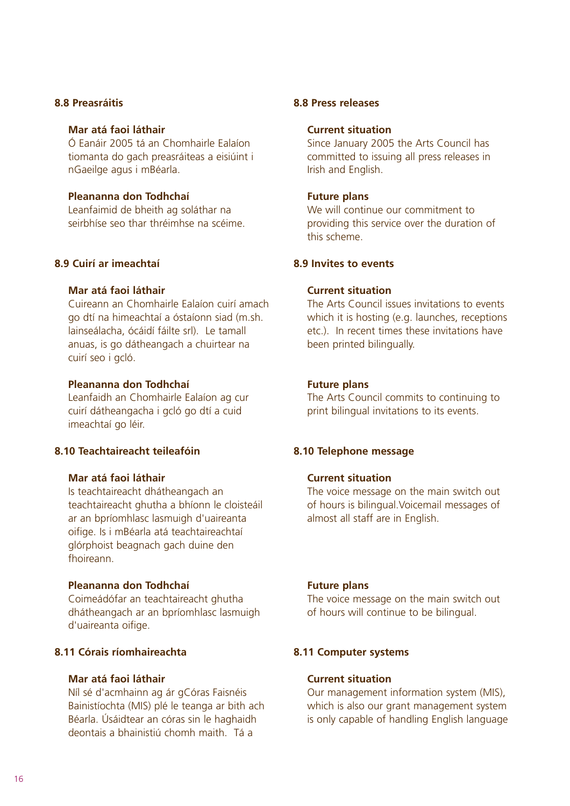#### **8.8 Preasráitis**

#### **Mar atá faoi láthair**

Ó Eanáir 2005 tá an Chomhairle Ealaíon tiomanta do gach preasráiteas a eisiúint i nGaeilge agus i mBéarla.

#### **Pleananna don Todhchaí**

Leanfaimid de bheith ag soláthar na seirbhíse seo thar thréimhse na scéime.

### **8.9 Cuirí ar imeachtaí**

### **Mar atá faoi láthair**

Cuireann an Chomhairle Ealaíon cuirí amach go dtí na himeachtaí a óstaíonn siad (m.sh. lainseálacha, ócáidí fáilte srl). Le tamall anuas, is go dátheangach a chuirtear na cuirí seo i gcló.

#### **Pleananna don Todhchaí**

Leanfaidh an Chomhairle Ealaíon ag cur cuirí dátheangacha i gcló go dtí a cuid imeachtaí go léir.

#### **8.10 Teachtaireacht teileafóin**

### **Mar atá faoi láthair**

Is teachtaireacht dhátheangach an teachtaireacht ghutha a bhíonn le cloisteáil ar an bpríomhlasc lasmuigh d'uaireanta oifige. Is i mBéarla atá teachtaireachtaí glórphoist beagnach gach duine den fhoireann.

#### **Pleananna don Todhchaí**

Coimeádófar an teachtaireacht ghutha dhátheangach ar an bpríomhlasc lasmuigh d'uaireanta oifige.

### **8.11 Córais ríomhaireachta**

#### **Mar atá faoi láthair**

Níl sé d'acmhainn ag ár gCóras Faisnéis Bainistíochta (MIS) plé le teanga ar bith ach Béarla. Úsáidtear an córas sin le haghaidh deontais a bhainistiú chomh maith. Tá a

#### **8.8 Press releases**

#### **Current situation**

Since January 2005 the Arts Council has committed to issuing all press releases in Irish and English.

#### **Future plans**

We will continue our commitment to providing this service over the duration of this scheme.

#### **8.9 Invites to events**

### **Current situation**

The Arts Council issues invitations to events which it is hosting (e.g. launches, receptions etc.). In recent times these invitations have been printed bilingually.

#### **Future plans**

The Arts Council commits to continuing to print bilingual invitations to its events.

#### **8.10 Telephone message**

#### **Current situation**

The voice message on the main switch out of hours is bilingual.Voicemail messages of almost all staff are in English.

#### **Future plans**

The voice message on the main switch out of hours will continue to be bilingual.

### **8.11 Computer systems**

#### **Current situation**

Our management information system (MIS), which is also our grant management system is only capable of handling English language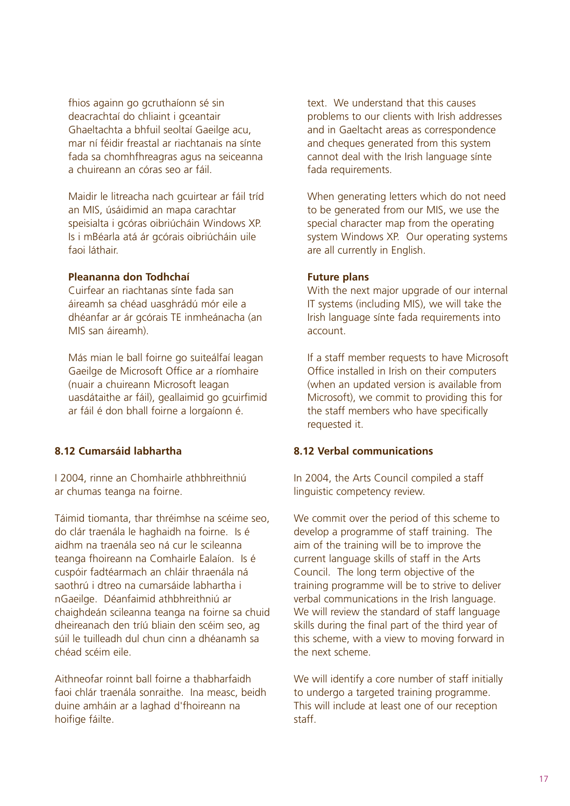fhios againn go gcruthaíonn sé sin deacrachtaí do chliaint i gceantair Ghaeltachta a bhfuil seoltaí Gaeilge acu, mar ní féidir freastal ar riachtanais na sínte fada sa chomhfhreagras agus na seiceanna a chuireann an córas seo ar fáil.

Maidir le litreacha nach gcuirtear ar fáil tríd an MIS, úsáidimid an mapa carachtar speisialta i gcóras oibriúcháin Windows XP. Is i mBéarla atá ár gcórais oibriúcháin uile faoi láthair.

#### **Pleananna don Todhchaí**

Cuirfear an riachtanas sínte fada san áireamh sa chéad uasghrádú mór eile a dhéanfar ar ár gcórais TE inmheánacha (an MIS san áireamh).

Más mian le ball foirne go suiteálfaí leagan Gaeilge de Microsoft Office ar a ríomhaire (nuair a chuireann Microsoft leagan uasdátaithe ar fáil), geallaimid go gcuirfimid ar fáil é don bhall foirne a lorgaíonn é.

### **8.12 Cumarsáid labhartha**

I 2004, rinne an Chomhairle athbhreithniú ar chumas teanga na foirne.

Táimid tiomanta, thar thréimhse na scéime seo, do clár traenála le haghaidh na foirne. Is é aidhm na traenála seo ná cur le scileanna teanga fhoireann na Comhairle Ealaíon. Is é cuspóir fadtéarmach an chláir thraenála ná saothrú i dtreo na cumarsáide labhartha i nGaeilge. Déanfaimid athbhreithniú ar chaighdeán scileanna teanga na foirne sa chuid dheireanach den tríú bliain den scéim seo, ag súil le tuilleadh dul chun cinn a dhéanamh sa chéad scéim eile.

Aithneofar roinnt ball foirne a thabharfaidh faoi chlár traenála sonraithe. Ina measc, beidh duine amháin ar a laghad d'fhoireann na hoifige fáilte.

text. We understand that this causes problems to our clients with Irish addresses and in Gaeltacht areas as correspondence and cheques generated from this system cannot deal with the Irish language sínte fada requirements.

When generating letters which do not need to be generated from our MIS, we use the special character map from the operating system Windows XP. Our operating systems are all currently in English.

#### **Future plans**

With the next major upgrade of our internal IT systems (including MIS), we will take the Irish language sínte fada requirements into account.

If a staff member requests to have Microsoft Office installed in Irish on their computers (when an updated version is available from Microsoft), we commit to providing this for the staff members who have specifically requested it.

#### **8.12 Verbal communications**

In 2004, the Arts Council compiled a staff linguistic competency review.

We commit over the period of this scheme to develop a programme of staff training. The aim of the training will be to improve the current language skills of staff in the Arts Council. The long term objective of the training programme will be to strive to deliver verbal communications in the Irish language. We will review the standard of staff language skills during the final part of the third year of this scheme, with a view to moving forward in the next scheme.

We will identify a core number of staff initially to undergo a targeted training programme. This will include at least one of our reception staff.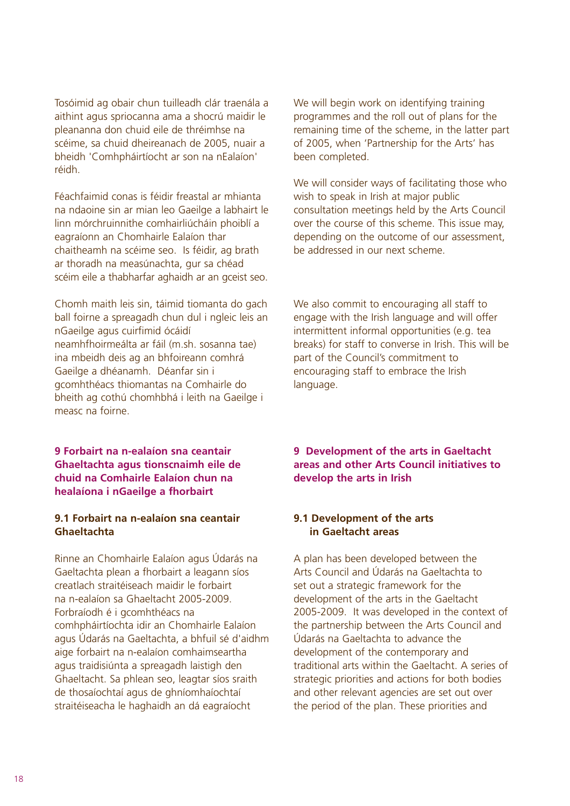Tosóimid ag obair chun tuilleadh clár traenála a aithint agus spriocanna ama a shocrú maidir le pleananna don chuid eile de thréimhse na scéime, sa chuid dheireanach de 2005, nuair a bheidh 'Comhpháirtíocht ar son na nEalaíon' réidh.

Féachfaimid conas is féidir freastal ar mhianta na ndaoine sin ar mian leo Gaeilge a labhairt le linn mórchruinnithe comhairliúcháin phoiblí a eagraíonn an Chomhairle Ealaíon thar chaitheamh na scéime seo. Is féidir, ag brath ar thoradh na measúnachta, gur sa chéad scéim eile a thabharfar aghaidh ar an gceist seo.

Chomh maith leis sin, táimid tiomanta do gach ball foirne a spreagadh chun dul i ngleic leis an nGaeilge agus cuirfimid ócáidí neamhfhoirmeálta ar fáil (m.sh. sosanna tae) ina mbeidh deis ag an bhfoireann comhrá Gaeilge a dhéanamh. Déanfar sin i gcomhthéacs thiomantas na Comhairle do bheith ag cothú chomhbhá i leith na Gaeilge i measc na foirne.

### **9 Forbairt na n-ealaíon sna ceantair Ghaeltachta agus tionscnaimh eile de chuid na Comhairle Ealaíon chun na healaíona i nGaeilge a fhorbairt**

### **9.1 Forbairt na n-ealaíon sna ceantair Ghaeltachta**

Rinne an Chomhairle Ealaíon agus Údarás na Gaeltachta plean a fhorbairt a leagann síos creatlach straitéiseach maidir le forbairt na n-ealaíon sa Ghaeltacht 2005-2009. Forbraíodh é i gcomhthéacs na comhpháirtíochta idir an Chomhairle Ealaíon agus Údarás na Gaeltachta, a bhfuil sé d'aidhm aige forbairt na n-ealaíon comhaimseartha agus traidisiúnta a spreagadh laistigh den Ghaeltacht. Sa phlean seo, leagtar síos sraith de thosaíochtaí agus de ghníomhaíochtaí straitéiseacha le haghaidh an dá eagraíocht

We will begin work on identifying training programmes and the roll out of plans for the remaining time of the scheme, in the latter part of 2005, when 'Partnership for the Arts' has been completed.

We will consider ways of facilitating those who wish to speak in Irish at major public consultation meetings held by the Arts Council over the course of this scheme. This issue may, depending on the outcome of our assessment, be addressed in our next scheme.

We also commit to encouraging all staff to engage with the Irish language and will offer intermittent informal opportunities (e.g. tea breaks) for staff to converse in Irish. This will be part of the Council's commitment to encouraging staff to embrace the Irish language.

**9 Development of the arts in Gaeltacht areas and other Arts Council initiatives to develop the arts in Irish**

### **9.1 Development of the arts in Gaeltacht areas**

A plan has been developed between the Arts Council and Údarás na Gaeltachta to set out a strategic framework for the development of the arts in the Gaeltacht 2005-2009. It was developed in the context of the partnership between the Arts Council and Údarás na Gaeltachta to advance the development of the contemporary and traditional arts within the Gaeltacht. A series of strategic priorities and actions for both bodies and other relevant agencies are set out over the period of the plan. These priorities and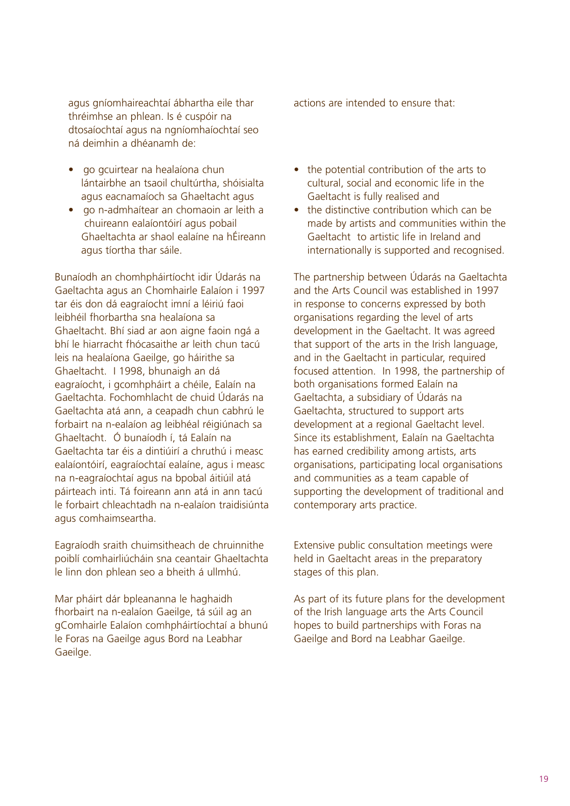agus gníomhaireachtaí ábhartha eile thar thréimhse an phlean. Is é cuspóir na dtosaíochtaí agus na ngníomhaíochtaí seo ná deimhin a dhéanamh de:

- go gcuirtear na healaíona chun lántairbhe an tsaoil chultúrtha, shóisialta agus eacnamaíoch sa Ghaeltacht agus
- go n-admhaítear an chomaoin ar leith a chuireann ealaíontóirí agus pobail Ghaeltachta ar shaol ealaíne na hÉireann agus tíortha thar sáile.

Bunaíodh an chomhpháirtíocht idir Údarás na Gaeltachta agus an Chomhairle Ealaíon i 1997 tar éis don dá eagraíocht imní a léiriú faoi leibhéil fhorbartha sna healaíona sa Ghaeltacht. Bhí siad ar aon aigne faoin ngá a bhí le hiarracht fhócasaithe ar leith chun tacú leis na healaíona Gaeilge, go háirithe sa Ghaeltacht. I 1998, bhunaigh an dá eagraíocht, i gcomhpháirt a chéile, Ealaín na Gaeltachta. Fochomhlacht de chuid Údarás na Gaeltachta atá ann, a ceapadh chun cabhrú le forbairt na n-ealaíon ag leibhéal réigiúnach sa Ghaeltacht. Ó bunaíodh í, tá Ealaín na Gaeltachta tar éis a dintiúirí a chruthú i measc ealaíontóirí, eagraíochtaí ealaíne, agus i measc na n-eagraíochtaí agus na bpobal áitiúil atá páirteach inti. Tá foireann ann atá in ann tacú le forbairt chleachtadh na n-ealaíon traidisiúnta agus comhaimseartha.

Eagraíodh sraith chuimsitheach de chruinnithe poiblí comhairliúcháin sna ceantair Ghaeltachta le linn don phlean seo a bheith á ullmhú.

Mar pháirt dár bpleananna le haghaidh fhorbairt na n-ealaíon Gaeilge, tá súil ag an gComhairle Ealaíon comhpháirtíochtaí a bhunú le Foras na Gaeilge agus Bord na Leabhar Gaeilge.

actions are intended to ensure that:

- the potential contribution of the arts to cultural, social and economic life in the Gaeltacht is fully realised and
- the distinctive contribution which can be made by artists and communities within the Gaeltacht to artistic life in Ireland and internationally is supported and recognised.

The partnership between Údarás na Gaeltachta and the Arts Council was established in 1997 in response to concerns expressed by both organisations regarding the level of arts development in the Gaeltacht. It was agreed that support of the arts in the Irish language, and in the Gaeltacht in particular, required focused attention. In 1998, the partnership of both organisations formed Ealaín na Gaeltachta, a subsidiary of Údarás na Gaeltachta, structured to support arts development at a regional Gaeltacht level. Since its establishment, Ealaín na Gaeltachta has earned credibility among artists, arts organisations, participating local organisations and communities as a team capable of supporting the development of traditional and contemporary arts practice.

Extensive public consultation meetings were held in Gaeltacht areas in the preparatory stages of this plan.

As part of its future plans for the development of the Irish language arts the Arts Council hopes to build partnerships with Foras na Gaeilge and Bord na Leabhar Gaeilge.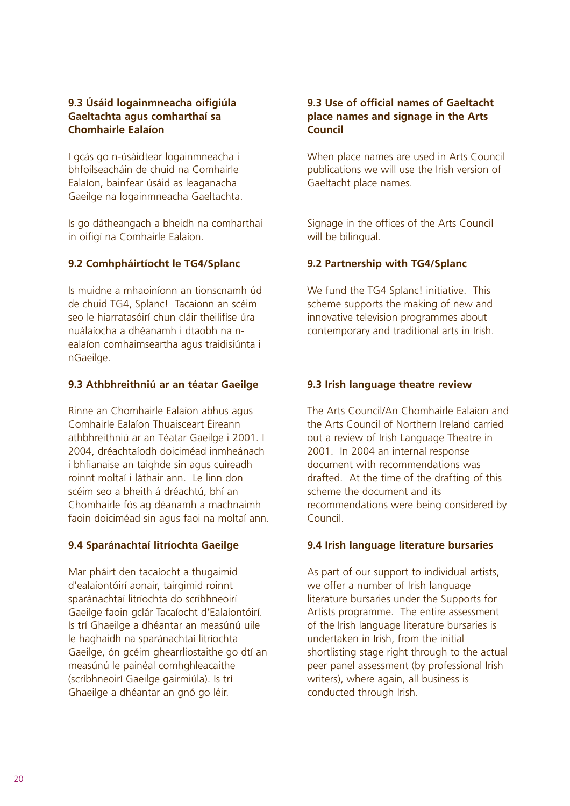## **9.3 Úsáid logainmneacha oifigiúla Gaeltachta agus comharthaí sa Chomhairle Ealaíon**

I gcás go n-úsáidtear logainmneacha i bhfoilseacháin de chuid na Comhairle Ealaíon, bainfear úsáid as leaganacha Gaeilge na logainmneacha Gaeltachta.

Is go dátheangach a bheidh na comharthaí in oifigí na Comhairle Ealaíon.

## **9.2 Comhpháirtíocht le TG4/Splanc**

Is muidne a mhaoiníonn an tionscnamh úd de chuid TG4, Splanc! Tacaíonn an scéim seo le hiarratasóirí chun cláir theilifíse úra nuálaíocha a dhéanamh i dtaobh na nealaíon comhaimseartha agus traidisiúnta i nGaeilge.

## **9.3 Athbhreithniú ar an téatar Gaeilge**

Rinne an Chomhairle Ealaíon abhus agus Comhairle Ealaíon Thuaisceart Éireann athbhreithniú ar an Téatar Gaeilge i 2001. I 2004, dréachtaíodh doiciméad inmheánach i bhfianaise an taighde sin agus cuireadh roinnt moltaí i láthair ann. Le linn don scéim seo a bheith á dréachtú, bhí an Chomhairle fós ag déanamh a machnaimh faoin doiciméad sin agus faoi na moltaí ann.

## **9.4 Sparánachtaí litríochta Gaeilge**

Mar pháirt den tacaíocht a thugaimid d'ealaíontóirí aonair, tairgimid roinnt sparánachtaí litríochta do scríbhneoirí Gaeilge faoin gclár Tacaíocht d'Ealaíontóirí. Is trí Ghaeilge a dhéantar an measúnú uile le haghaidh na sparánachtaí litríochta Gaeilge, ón gcéim ghearrliostaithe go dtí an measúnú le painéal comhghleacaithe (scríbhneoirí Gaeilge gairmiúla). Is trí Ghaeilge a dhéantar an gnó go léir.

## **9.3 Use of official names of Gaeltacht place names and signage in the Arts Council**

When place names are used in Arts Council publications we will use the Irish version of Gaeltacht place names.

Signage in the offices of the Arts Council will be bilingual.

## **9.2 Partnership with TG4/Splanc**

We fund the TG4 Splanc! initiative. This scheme supports the making of new and innovative television programmes about contemporary and traditional arts in Irish.

## **9.3 Irish language theatre review**

The Arts Council/An Chomhairle Ealaíon and the Arts Council of Northern Ireland carried out a review of Irish Language Theatre in 2001. In 2004 an internal response document with recommendations was drafted. At the time of the drafting of this scheme the document and its recommendations were being considered by Council.

## **9.4 Irish language literature bursaries**

As part of our support to individual artists, we offer a number of Irish language literature bursaries under the Supports for Artists programme. The entire assessment of the Irish language literature bursaries is undertaken in Irish, from the initial shortlisting stage right through to the actual peer panel assessment (by professional Irish writers), where again, all business is conducted through Irish.